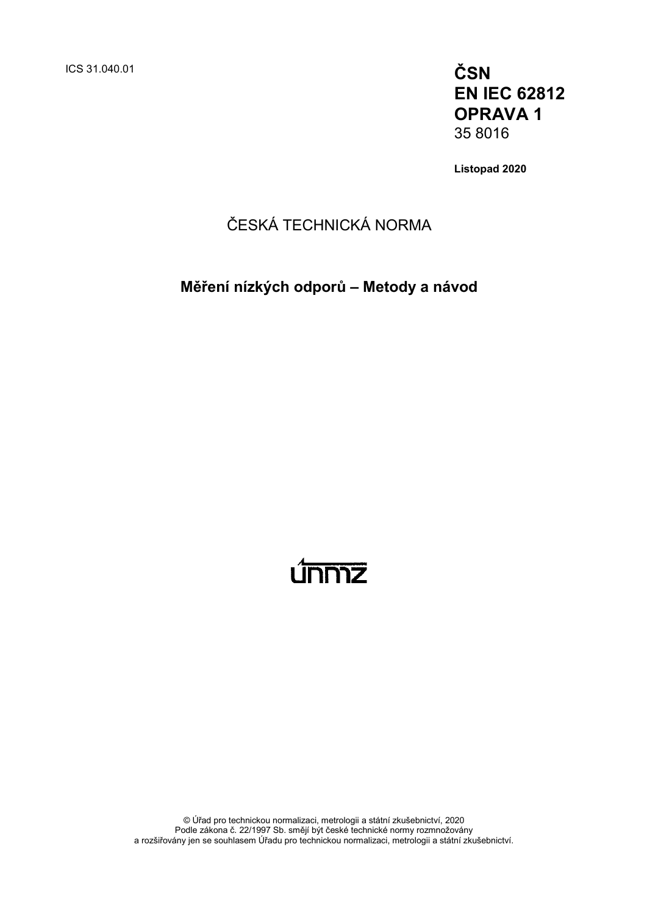**EN IEC 62812 OPRAVA 1** 35 8016

**Listopad 2020**

### ČESKÁ TECHNICKÁ NORMA

### **Měření nízkých odporů – Metody a návod**

# $\sqrt{nnz}$

© Úřad pro technickou normalizaci, metrologii a státní zkušebnictví, 2020 Podle zákona č. 22/1997 Sb. smějí být české technické normy rozmnožovány a rozšiřovány jen se souhlasem Úřadu pro technickou normalizaci, metrologii a státní zkušebnictví.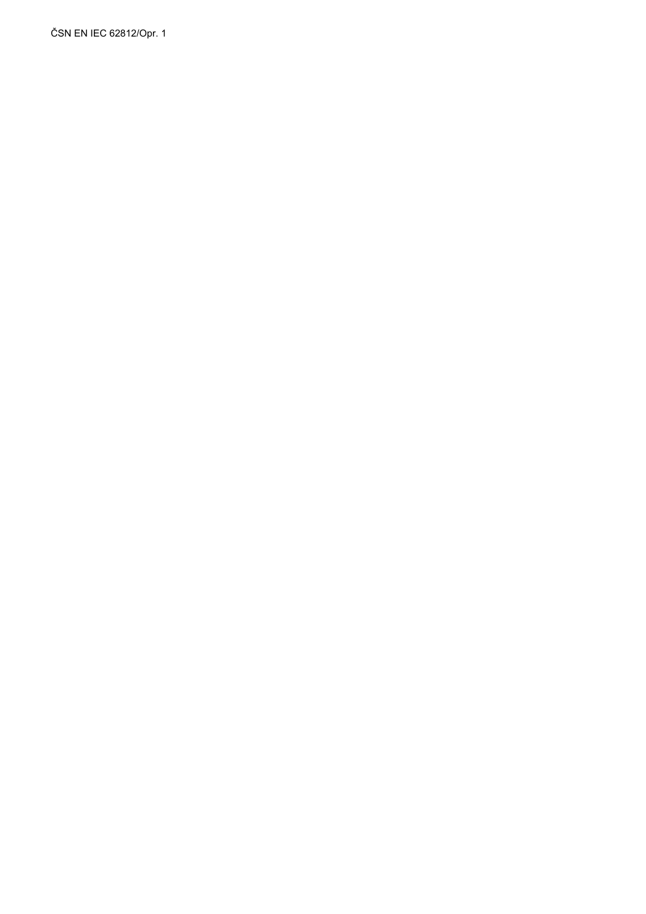ČSN EN IEC 62812/Opr. 1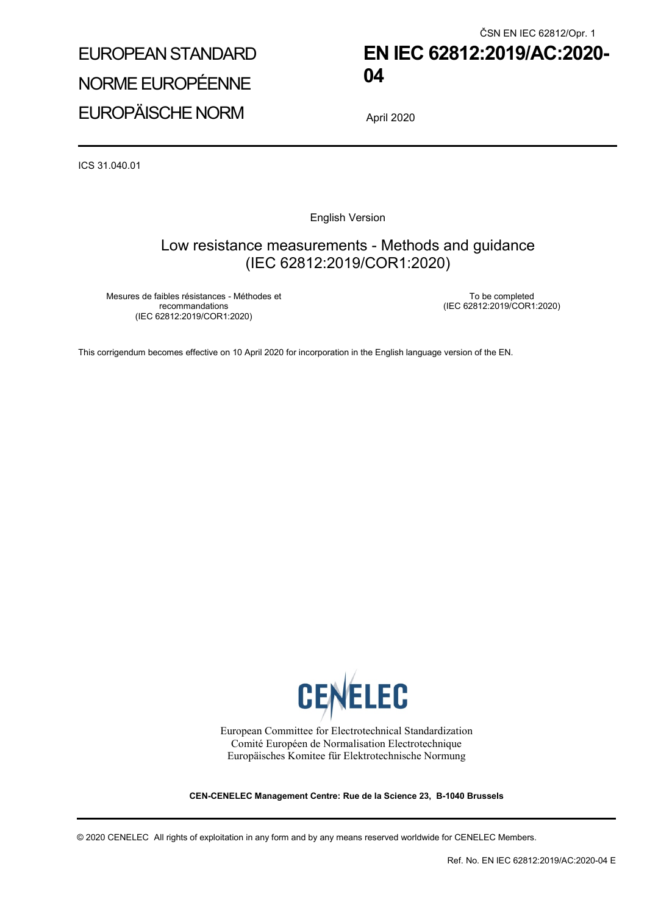# EUROPEAN STANDARD NORME EUROPÉENNE EUROPÄISCHE NORM

## **EN IEC 62812:2019/AC:2020- 04**

April 2020

ICS 31.040.01

English Version

### Low resistance measurements - Methods and guidance (IEC 62812:2019/COR1:2020)

Mesures de faibles résistances - Méthodes et recommandations (IEC 62812:2019/COR1:2020)

 To be completed (IEC 62812:2019/COR1:2020)

This corrigendum becomes effective on 10 April 2020 for incorporation in the English language version of the EN.



European Committee for Electrotechnical Standardization Comité Européen de Normalisation Electrotechnique Europäisches Komitee für Elektrotechnische Normung

**CEN-CENELEC Management Centre: Rue de la Science 23, B-1040 Brussels** 

© 2020 CENELEC All rights of exploitation in any form and by any means reserved worldwide for CENELEC Members.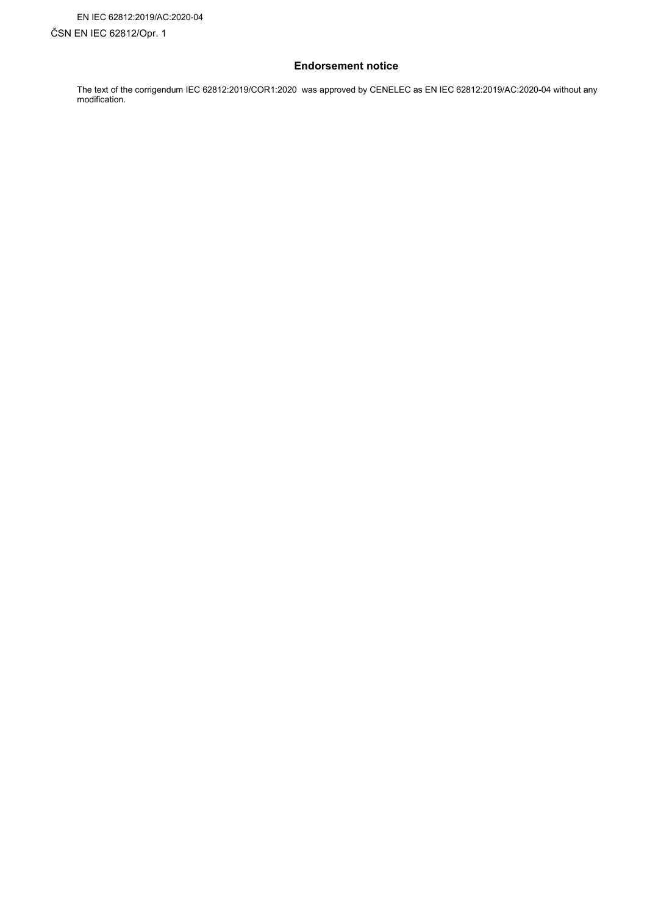EN IEC 62812:2019/AC:2020-04

ČSN EN IEC 62812/Opr. 1

#### **Endorsement notice**

The text of the corrigendum IEC 62812:2019/COR1:2020 was approved by CENELEC as EN IEC 62812:2019/AC:2020-04 without any modification.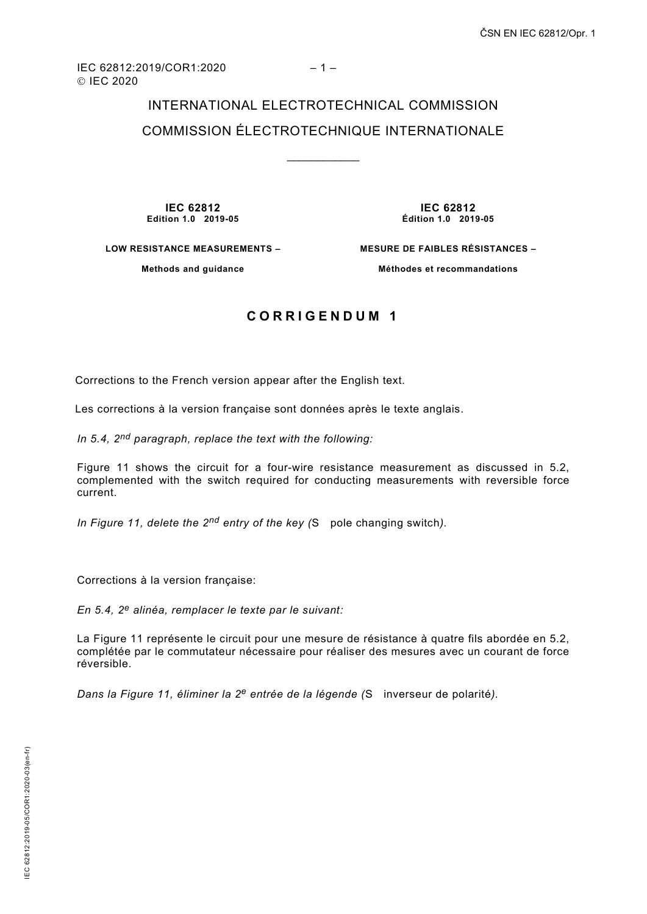\_\_\_\_\_\_\_\_\_\_\_\_

**IEC 62812 Edition 1.0 2019-05**

**IEC 62812 Édition 1.0 2019-05**

**LOW RESISTANCE MEASUREMENTS –** 

**MESURE DE FAIBLES RÉSISTANCES –** 

**Methods and guidance**

**Méthodes et recommandations**

#### **CORRI GENDUM 1**

Corrections to the French version appear after the English text.

Les corrections à la version française sont données après le texte anglais.

*In 5.4, 2nd paragraph, replace the text with the following:*

Figure 11 shows the circuit for a four-wire resistance measurement as discussed in 5.2, complemented with the switch required for conducting measurements with reversible force current.

*In Figure 11, delete the 2nd entry of the key (*S pole changing switch*).*

Corrections à la version française:

*En 5.4, 2<sup>e</sup> alinéa, remplacer le texte par le suivant:*

La Figure 11 représente le circuit pour une mesure de résistance à quatre fils abordée en 5.2, complétée par le commutateur nécessaire pour réaliser des mesures avec un courant de force réversible.

*Dans la Figure 11, éliminer la 2<sup>e</sup> entrée de la légende (*S inverseur de polarité*).*